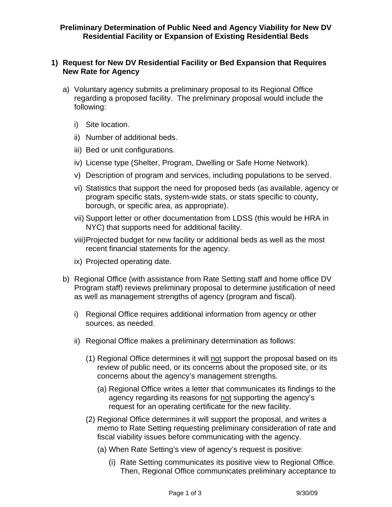## **1) Request for New DV Residential Facility or Bed Expansion that Requires New Rate for Agency**

- a) Voluntary agency submits a preliminary proposal to its Regional Office regarding a proposed facility. The preliminary proposal would include the following:
	- i) Site location.
	- ii) Number of additional beds.
	- iii) Bed or unit configurations.
	- iv) License type (Shelter, Program, Dwelling or Safe Home Network).
	- v) Description of program and services, including populations to be served.
	- vi) Statistics that support the need for proposed beds (as available, agency or program specific stats, system-wide stats, or stats specific to county, borough, or specific area, as appropriate).
	- vii) Support letter or other documentation from LDSS (this would be HRA in NYC) that supports need for additional facility.
	- viii)Projected budget for new facility or additional beds as well as the most recent financial statements for the agency.
	- ix) Projected operating date.
- b) Regional Office (with assistance from Rate Setting staff and home office DV Program staff) reviews preliminary proposal to determine justification of need as well as management strengths of agency (program and fiscal).
	- i) Regional Office requires additional information from agency or other sources, as needed.
	- ii) Regional Office makes a preliminary determination as follows:
		- (1) Regional Office determines it will not support the proposal based on its review of public need, or its concerns about the proposed site, or its concerns about the agency's management strengths.
			- (a) Regional Office writes a letter that communicates its findings to the agency regarding its reasons for not supporting the agency's request for an operating certificate for the new facility.
		- (2) Regional Office determines it will support the proposal, and writes a memo to Rate Setting requesting preliminary consideration of rate and fiscal viability issues before communicating with the agency.
			- (a) When Rate Setting's view of agency's request is positive:
				- (i) Rate Setting communicates its positive view to Regional Office. Then, Regional Office communicates preliminary acceptance to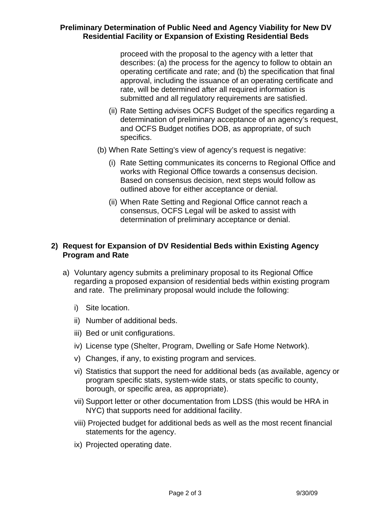## **Preliminary Determination of Public Need and Agency Viability for New DV Residential Facility or Expansion of Existing Residential Beds**

proceed with the proposal to the agency with a letter that describes: (a) the process for the agency to follow to obtain an operating certificate and rate; and (b) the specification that final approval, including the issuance of an operating certificate and rate, will be determined after all required information is submitted and all regulatory requirements are satisfied.

- (ii) Rate Setting advises OCFS Budget of the specifics regarding a determination of preliminary acceptance of an agency's request, and OCFS Budget notifies DOB, as appropriate, of such specifics.
- (b) When Rate Setting's view of agency's request is negative:
	- (i) Rate Setting communicates its concerns to Regional Office and works with Regional Office towards a consensus decision. Based on consensus decision, next steps would follow as outlined above for either acceptance or denial.
	- (ii) When Rate Setting and Regional Office cannot reach a consensus, OCFS Legal will be asked to assist with determination of preliminary acceptance or denial.

## **2) Request for Expansion of DV Residential Beds within Existing Agency Program and Rate**

- a) Voluntary agency submits a preliminary proposal to its Regional Office regarding a proposed expansion of residential beds within existing program and rate. The preliminary proposal would include the following:
	- i) Site location.
	- ii) Number of additional beds.
	- iii) Bed or unit configurations.
	- iv) License type (Shelter, Program, Dwelling or Safe Home Network).
	- v) Changes, if any, to existing program and services.
	- vi) Statistics that support the need for additional beds (as available, agency or program specific stats, system-wide stats, or stats specific to county, borough, or specific area, as appropriate).
	- vii) Support letter or other documentation from LDSS (this would be HRA in NYC) that supports need for additional facility.
	- viii) Projected budget for additional beds as well as the most recent financial statements for the agency.
	- ix) Projected operating date.